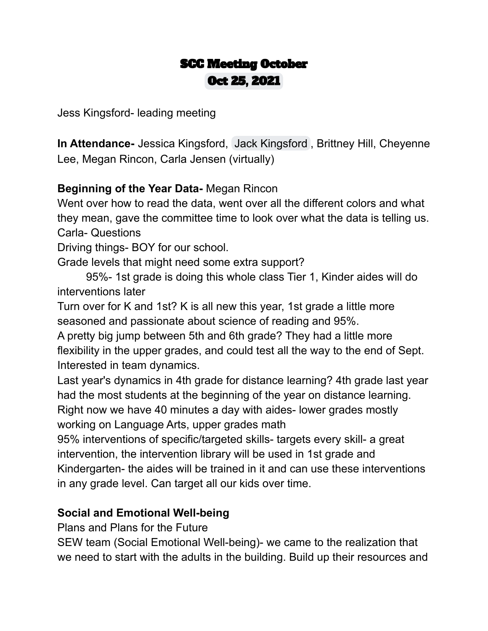## SCC Meeting October Oct 25, 2021

Jess Kingsford- leading meeting

**In Attendance-** Jessica Kingsford, Jack [Kingsford](mailto:ninjaturtlepower@gmail.com) , Brittney Hill, Cheyenne Lee, Megan Rincon, Carla Jensen (virtually)

## **Beginning of the Year Data-** Megan Rincon

Went over how to read the data, went over all the different colors and what they mean, gave the committee time to look over what the data is telling us. Carla- Questions

Driving things- BOY for our school.

Grade levels that might need some extra support?

95%- 1st grade is doing this whole class Tier 1, Kinder aides will do interventions later

Turn over for K and 1st? K is all new this year, 1st grade a little more seasoned and passionate about science of reading and 95%.

A pretty big jump between 5th and 6th grade? They had a little more flexibility in the upper grades, and could test all the way to the end of Sept. Interested in team dynamics.

Last year's dynamics in 4th grade for distance learning? 4th grade last year had the most students at the beginning of the year on distance learning. Right now we have 40 minutes a day with aides- lower grades mostly working on Language Arts, upper grades math

95% interventions of specific/targeted skills- targets every skill- a great intervention, the intervention library will be used in 1st grade and Kindergarten- the aides will be trained in it and can use these interventions in any grade level. Can target all our kids over time.

## **Social and Emotional Well-being**

Plans and Plans for the Future

SEW team (Social Emotional Well-being)- we came to the realization that we need to start with the adults in the building. Build up their resources and